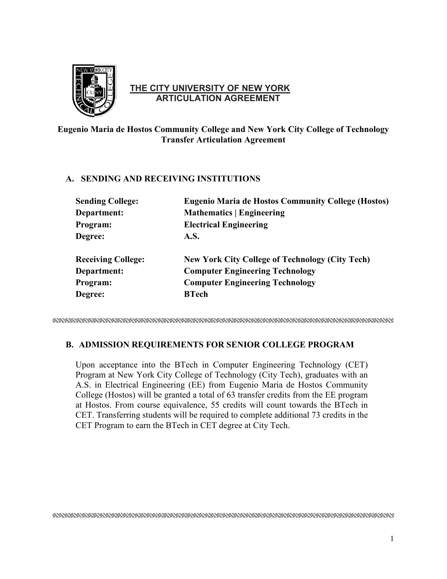

## **THE CITY UNIVERSITY OF NEW YORK ARTICULATION AGREEMENT**

# **Eugenio Maria de Hostos Community College and New York City College of Technology Transfer Articulation Agreement**

### **A. SENDING AND RECEIVING INSTITUTIONS**

| <b>Sending College:</b>   | <b>Eugenio Maria de Hostos Community College (Hostos)</b> |
|---------------------------|-----------------------------------------------------------|
| Department:               | <b>Mathematics   Engineering</b>                          |
| Program:                  | <b>Electrical Engineering</b>                             |
| Degree:                   | <b>A.S.</b>                                               |
| <b>Receiving College:</b> | <b>New York City College of Technology (City Tech)</b>    |
| Department:               | <b>Computer Engineering Technology</b>                    |
| Program:                  | <b>Computer Engineering Technology</b>                    |
| Degree:                   | <b>BTech</b>                                              |

## **B. ADMISSION REQUIREMENTS FOR SENIOR COLLEGE PROGRAM**

 Upon acceptance into the BTech in Computer Engineering Technology (CET) Program at New York City College of Technology (City Tech), graduates with an A.S. in Electrical Engineering (EE) from Eugenio Maria de Hostos Community College (Hostos) will be granted a total of 63 transfer credits from the EE program CET Program to earn the BTech in CET degree at City Tech. at Hostos. From course equivalence, 55 credits will count towards the BTech in CET. Transferring students will be required to complete additional 73 credits in the CET Program to earn the BTech in CET degree at City Tech. 1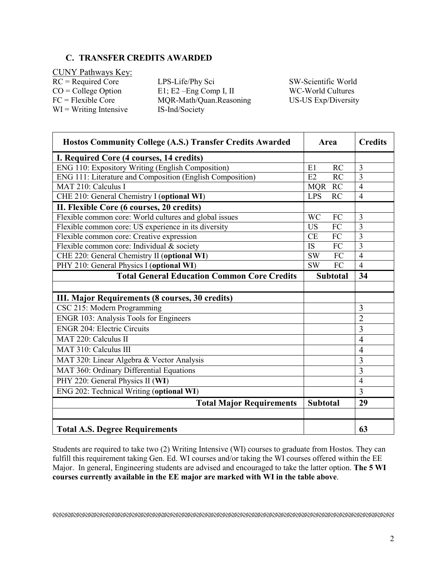### **C. TRANSFER CREDITS AWARDED**

 $CO = College Option$  $FC = Flexible Core$ WI = Writing Intensive IS-Ind/Society CUNY Pathways Key:

RC = Required Core LPS-Life/Phy Sci SW-Scientific World E1; E2 –Eng Comp I, II WC-World Cultures MQR-Math/Quan.Reasoning US-US Exp/Diversity

| Hostos Community College (A.S.) Transfer Credits Awarded  | Area       |                 | <b>Credits</b> |
|-----------------------------------------------------------|------------|-----------------|----------------|
| I. Required Core (4 courses, 14 credits)                  |            |                 |                |
| <b>ENG 110: Expository Writing (English Composition)</b>  | E1         | RC              | 3              |
| ENG 111: Literature and Composition (English Composition) | E2         | $\overline{RC}$ | $\overline{3}$ |
| MAT 210: Calculus I                                       | <b>MQR</b> | RC              | $\overline{4}$ |
| CHE 210: General Chemistry I (optional WI)                | <b>LPS</b> | <b>RC</b>       | $\overline{4}$ |
| II. Flexible Core (6 courses, 20 credits)                 |            |                 |                |
| Flexible common core: World cultures and global issues    | <b>WC</b>  | FC              | 3              |
| Flexible common core: US experience in its diversity      | <b>US</b>  | FC              | $\overline{3}$ |
| Flexible common core: Creative expression                 | CE         | FC              | $\overline{3}$ |
| Flexible common core: Individual & society                | <b>IS</b>  | FC              | $\overline{3}$ |
| CHE 220: General Chemistry II (optional WI)               | <b>SW</b>  | FC              | $\overline{4}$ |
| PHY 210: General Physics I (optional WI)                  | <b>SW</b>  | FC              | $\overline{4}$ |
| <b>Total General Education Common Core Credits</b>        |            | <b>Subtotal</b> | 34             |
|                                                           |            |                 |                |
| III. Major Requirements (8 courses, 30 credits)           |            |                 |                |
| CSC 215: Modern Programming                               |            |                 | 3              |
| ENGR 103: Analysis Tools for Engineers                    |            |                 | $\overline{2}$ |
| <b>ENGR 204: Electric Circuits</b>                        |            |                 | $\overline{3}$ |
| MAT 220: Calculus II                                      |            |                 | $\overline{4}$ |
| MAT 310: Calculus III                                     |            |                 | $\overline{4}$ |
| MAT 320: Linear Algebra & Vector Analysis                 |            |                 | 3              |
| MAT 360: Ordinary Differential Equations                  |            |                 | 3              |
| PHY 220: General Physics II (WI)                          |            |                 | $\overline{4}$ |
| ENG 202: Technical Writing (optional WI)                  |            |                 | 3              |
| <b>Total Major Requirements</b>                           |            | <b>Subtotal</b> | 29             |
|                                                           |            |                 |                |
| <b>Total A.S. Degree Requirements</b>                     |            |                 | 63             |

 Students are required to take two (2) Writing Intensive (WI) courses to graduate from Hostos. They can fulfill this requirement taking Gen. Ed. WI courses and/or taking the WI courses offered within the EE  Major. In general, Engineering students are advised and encouraged to take the latter option. **The 5 WI courses currently available in the EE major are marked with WI in the table above**.

ERERTEK KERKER KERKER KERKER KERKER KERKER KERKER KERKER KERKER KERKER KERKER KERKER KERKER KERKER KERKER KERK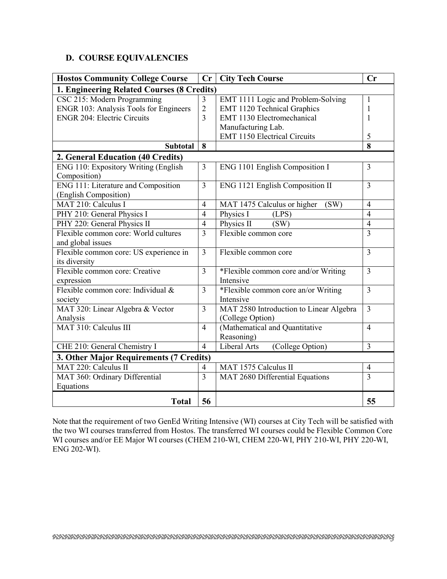### **D. COURSE EQUIVALENCIES**

| <b>Hostos Community College Course</b>     | Cr                       | <b>City Tech Course</b>                 | Cr             |  |  |  |  |  |
|--------------------------------------------|--------------------------|-----------------------------------------|----------------|--|--|--|--|--|
| 1. Engineering Related Courses (8 Credits) |                          |                                         |                |  |  |  |  |  |
| CSC 215: Modern Programming                | $\mathfrak{Z}$           | EMT 1111 Logic and Problem-Solving      | $\mathbf{1}$   |  |  |  |  |  |
| ENGR 103: Analysis Tools for Engineers     | $\overline{2}$           | EMT 1120 Technical Graphics             | 1              |  |  |  |  |  |
| <b>ENGR 204: Electric Circuits</b>         | $\overline{3}$           | <b>EMT 1130 Electromechanical</b>       | $\mathbf{1}$   |  |  |  |  |  |
|                                            |                          | Manufacturing Lab.                      |                |  |  |  |  |  |
|                                            |                          | <b>EMT 1150 Electrical Circuits</b>     | 5              |  |  |  |  |  |
| <b>Subtotal</b>                            | 8                        |                                         | 8              |  |  |  |  |  |
| 2. General Education (40 Credits)          |                          |                                         |                |  |  |  |  |  |
| ENG 110: Expository Writing (English       | 3                        | ENG 1101 English Composition I          | 3              |  |  |  |  |  |
| Composition)                               |                          |                                         |                |  |  |  |  |  |
| ENG 111: Literature and Composition        | 3                        | ENG 1121 English Composition II         | 3              |  |  |  |  |  |
| (English Composition)                      |                          |                                         |                |  |  |  |  |  |
| MAT 210: Calculus I                        | $\overline{4}$           | MAT 1475 Calculus or higher<br>(SW)     | $\overline{4}$ |  |  |  |  |  |
| PHY 210: General Physics I                 | $\overline{4}$           | Physics I<br>(LPS)                      | $\overline{4}$ |  |  |  |  |  |
| PHY 220: General Physics II                | $\overline{4}$           | Physics II<br>(SW)                      | $\overline{4}$ |  |  |  |  |  |
| Flexible common core: World cultures       | $\overline{3}$           | Flexible common core                    | $\overline{3}$ |  |  |  |  |  |
| and global issues                          |                          |                                         |                |  |  |  |  |  |
| Flexible common core: US experience in     | 3                        | Flexible common core                    | 3              |  |  |  |  |  |
| its diversity                              |                          |                                         |                |  |  |  |  |  |
| Flexible common core: Creative             | $\overline{3}$           | *Flexible common core and/or Writing    | $\overline{3}$ |  |  |  |  |  |
| expression                                 |                          | Intensive                               |                |  |  |  |  |  |
| Flexible common core: Individual &         | $\overline{3}$           | *Flexible common core an/or Writing     | $\overline{3}$ |  |  |  |  |  |
| society                                    |                          | Intensive                               |                |  |  |  |  |  |
| MAT 320: Linear Algebra & Vector           | 3                        | MAT 2580 Introduction to Linear Algebra | 3              |  |  |  |  |  |
| Analysis                                   |                          | (College Option)                        |                |  |  |  |  |  |
| MAT 310: Calculus III                      | $\overline{4}$           | (Mathematical and Quantitative          | $\overline{4}$ |  |  |  |  |  |
|                                            |                          | Reasoning)                              |                |  |  |  |  |  |
| CHE 210: General Chemistry I               | $\overline{4}$           | Liberal Arts<br>(College Option)        | $\overline{3}$ |  |  |  |  |  |
| 3. Other Major Requirements (7 Credits)    |                          |                                         |                |  |  |  |  |  |
| MAT 220: Calculus II                       | $\overline{\mathcal{L}}$ | MAT 1575 Calculus II                    | $\overline{4}$ |  |  |  |  |  |
| MAT 360: Ordinary Differential             | 3                        | MAT 2680 Differential Equations         | $\overline{3}$ |  |  |  |  |  |
| Equations                                  |                          |                                         |                |  |  |  |  |  |
| <b>Total</b>                               | 56                       |                                         | 55             |  |  |  |  |  |

 WI courses and/or EE Major WI courses (CHEM 210-WI, CHEM 220-WI, PHY 210-WI, PHY 220-WI, ENG 202-WI). Note that the requirement of two GenEd Writing Intensive (WI) courses at City Tech will be satisfied with the two WI courses transferred from Hostos. The transferred WI courses could be Flexible Common Core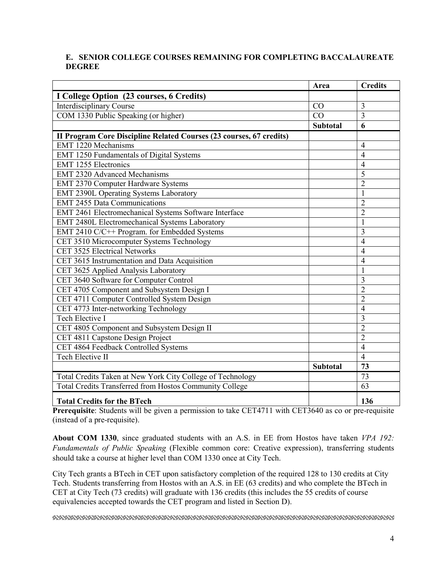### **E. SENIOR COLLEGE COURSES REMAINING FOR COMPLETING BACCALAUREATE DEGREE**

|                                                                     | Area            | <b>Credits</b> |
|---------------------------------------------------------------------|-----------------|----------------|
| I College Option (23 courses, 6 Credits)                            |                 |                |
| <b>Interdisciplinary Course</b>                                     | CO              | 3              |
| COM 1330 Public Speaking (or higher)                                | CO              | $\overline{3}$ |
|                                                                     | <b>Subtotal</b> | 6              |
| II Program Core Discipline Related Courses (23 courses, 67 credits) |                 |                |
| <b>EMT 1220 Mechanisms</b>                                          |                 | 4              |
| EMT 1250 Fundamentals of Digital Systems                            |                 | $\overline{4}$ |
| <b>EMT 1255 Electronics</b>                                         |                 | $\overline{4}$ |
| <b>EMT 2320 Advanced Mechanisms</b>                                 |                 | 5              |
| EMT 2370 Computer Hardware Systems                                  |                 | $\overline{2}$ |
| EMT 2390L Operating Systems Laboratory                              |                 | 1              |
| <b>EMT 2455 Data Communications</b>                                 |                 | $\overline{c}$ |
| EMT 2461 Electromechanical Systems Software Interface               |                 | $\overline{2}$ |
| EMT 2480L Electromechanical Systems Laboratory                      |                 | $\mathbf{1}$   |
| EMT 2410 C/C++ Program. for Embedded Systems                        |                 | 3              |
| CET 3510 Microcomputer Systems Technology                           |                 | $\overline{4}$ |
| CET 3525 Electrical Networks                                        |                 | $\overline{4}$ |
| CET 3615 Instrumentation and Data Acquisition                       |                 | $\overline{4}$ |
| CET 3625 Applied Analysis Laboratory                                |                 | $\mathbf{1}$   |
| CET 3640 Software for Computer Control                              |                 | $\overline{3}$ |
| CET 4705 Component and Subsystem Design I                           |                 | $\overline{2}$ |
| CET 4711 Computer Controlled System Design                          |                 | $\overline{2}$ |
| CET 4773 Inter-networking Technology                                |                 | $\overline{4}$ |
| <b>Tech Elective I</b>                                              |                 | $\overline{3}$ |
| CET 4805 Component and Subsystem Design II                          |                 | $\overline{2}$ |
| CET 4811 Capstone Design Project                                    |                 | $\overline{2}$ |
| CET 4864 Feedback Controlled Systems                                |                 | $\overline{4}$ |
| Tech Elective II                                                    |                 | $\overline{4}$ |
|                                                                     | Subtotal        | 73             |
| Total Credits Taken at New York City College of Technology          |                 | 73             |
| Total Credits Transferred from Hostos Community College             |                 | 63             |
| <b>Total Credits for the BTech</b>                                  |                 | 136            |

**Prerequisite**: Students will be given a permission to take CET4711 with CET3640 as co or pre-requisite (instead of a pre-requisite).

 **About COM 1330**, since graduated students with an A.S. in EE from Hostos have taken *VPA 192: Fundamentals of Public Speaking* (Flexible common core: Creative expression), transferring students should take a course at higher level than COM 1330 once at City Tech.

 City Tech grants a BTech in CET upon satisfactory completion of the required 128 to 130 credits at City CET at City Tech (73 credits) will graduate with 136 credits (this includes the 55 credits of course Tech. Students transferring from Hostos with an A.S. in EE (63 credits) and who complete the BTech in equivalencies accepted towards the CET program and listed in Section D).